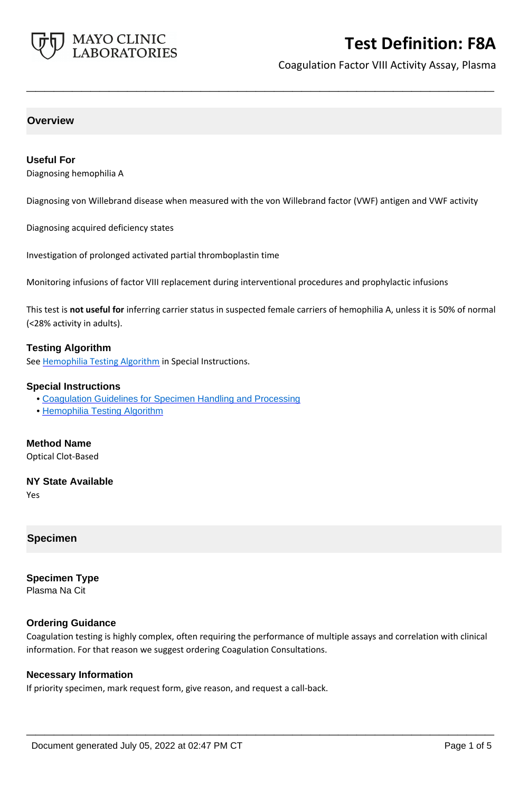

Coagulation Factor VIII Activity Assay, Plasma

# **Overview**

# **Useful For**

Diagnosing hemophilia A

Diagnosing von Willebrand disease when measured with the von Willebrand factor (VWF) antigen and VWF activity

**\_\_\_\_\_\_\_\_\_\_\_\_\_\_\_\_\_\_\_\_\_\_\_\_\_\_\_\_\_\_\_\_\_\_\_\_\_\_\_\_\_\_\_\_\_\_\_\_\_\_\_**

Diagnosing acquired deficiency states

Investigation of prolonged activated partial thromboplastin time

Monitoring infusions of factor VIII replacement during interventional procedures and prophylactic infusions

This test is **not useful for** inferring carrier status in suspected female carriers of hemophilia A, unless it is 50% of normal (<28% activity in adults).

## **Testing Algorithm**

See [Hemophilia Testing Algorithm](https://www.mayocliniclabs.com/it-mmfiles/Hemophilia_Testing_Algorithm.pdf) in Special Instructions.

### **Special Instructions**

- • [Coagulation Guidelines for Specimen Handling and Processing](http://www.mayocliniclabs.com/it-mmfiles/Coagulation_Studies.pdf)
- • [Hemophilia Testing Algorithm](http://www.mayocliniclabs.com/it-mmfiles/Hemophilia_Testing_Algorithm.pdf)

# **Method Name**

Optical Clot-Based

# **NY State Available**

Yes

# **Specimen**

**Specimen Type** Plasma Na Cit

### **Ordering Guidance**

Coagulation testing is highly complex, often requiring the performance of multiple assays and correlation with clinical information. For that reason we suggest ordering Coagulation Consultations.

**\_\_\_\_\_\_\_\_\_\_\_\_\_\_\_\_\_\_\_\_\_\_\_\_\_\_\_\_\_\_\_\_\_\_\_\_\_\_\_\_\_\_\_\_\_\_\_\_\_\_\_**

### **Necessary Information**

If priority specimen, mark request form, give reason, and request a call-back.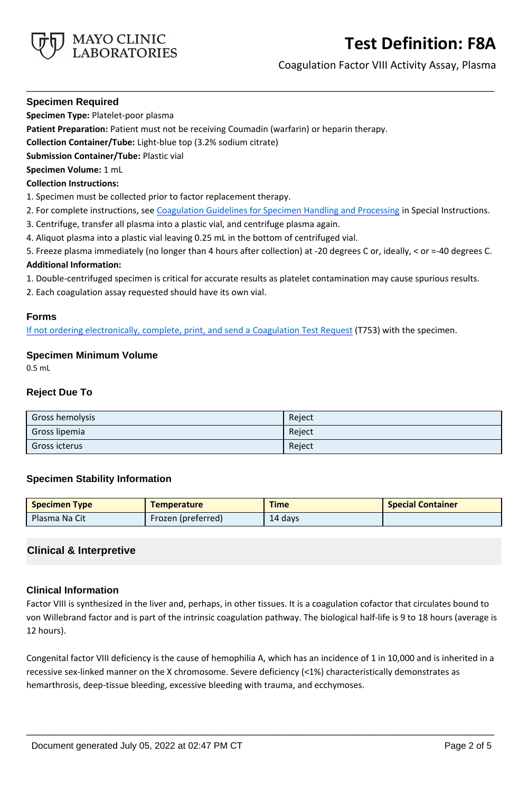

Coagulation Factor VIII Activity Assay, Plasma

# **Specimen Required**

**Specimen Type:** Platelet-poor plasma

**Patient Preparation:** Patient must not be receiving Coumadin (warfarin) or heparin therapy.

**Collection Container/Tube:** Light-blue top (3.2% sodium citrate)

**Submission Container/Tube:** Plastic vial

## **Specimen Volume:** 1 mL

### **Collection Instructions:**

- 1. Specimen must be collected prior to factor replacement therapy.
- 2. For complete instructions, see [Coagulation Guidelines for Specimen Handling and Processing](https://www.mayocliniclabs.com/it-mmfiles/Coagulation_Studies.pdf) in Special Instructions.

**\_\_\_\_\_\_\_\_\_\_\_\_\_\_\_\_\_\_\_\_\_\_\_\_\_\_\_\_\_\_\_\_\_\_\_\_\_\_\_\_\_\_\_\_\_\_\_\_\_\_\_**

- 3. Centrifuge, transfer all plasma into a plastic vial, and centrifuge plasma again.
- 4. Aliquot plasma into a plastic vial leaving 0.25 mL in the bottom of centrifuged vial.
- 5. Freeze plasma immediately (no longer than 4 hours after collection) at -20 degrees C or, ideally, < or =-40 degrees C.

# **Additional Information:**

- 1. Double-centrifuged specimen is critical for accurate results as platelet contamination may cause spurious results.
- 2. Each coagulation assay requested should have its own vial.

## **Forms**

If not ordering electronically, complete, print, and send a [Coagulation Test Request](https://www.mayocliniclabs.com/it-mmfiles/coagulation-test-request-form.pdf) (T753) with the specimen.

# **Specimen Minimum Volume**

0.5 mL

## **Reject Due To**

| Gross hemolysis | Reject |
|-----------------|--------|
| Gross lipemia   | Reject |
| Gross icterus   | Reject |

# **Specimen Stability Information**

| <b>Specimen Type</b> | <b>Temperature</b>        | <b>Time</b> | <b>Special Container</b> |
|----------------------|---------------------------|-------------|--------------------------|
| Plasma Na Cit        | <b>Frozen (preferred)</b> | 14 days     |                          |

# **Clinical & Interpretive**

# **Clinical Information**

Factor VIII is synthesized in the liver and, perhaps, in other tissues. It is a coagulation cofactor that circulates bound to von Willebrand factor and is part of the intrinsic coagulation pathway. The biological half-life is 9 to 18 hours (average is 12 hours).

Congenital factor VIII deficiency is the cause of hemophilia A, which has an incidence of 1 in 10,000 and is inherited in a recessive sex-linked manner on the X chromosome. Severe deficiency (<1%) characteristically demonstrates as hemarthrosis, deep-tissue bleeding, excessive bleeding with trauma, and ecchymoses.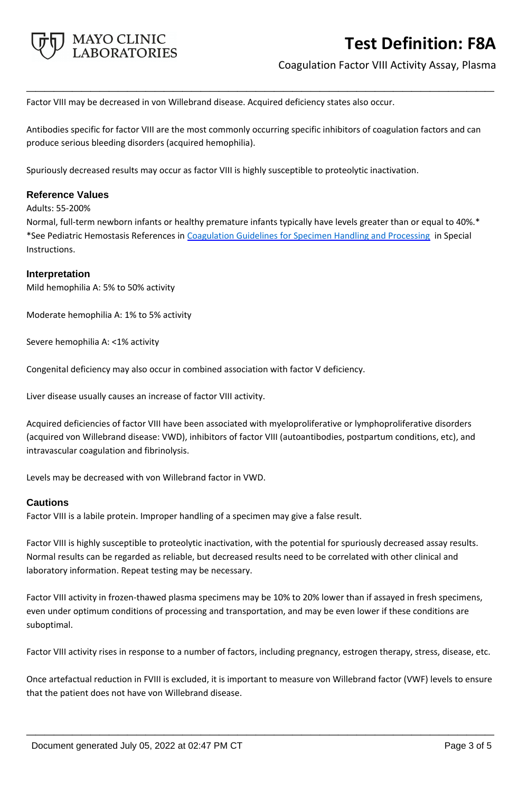

Coagulation Factor VIII Activity Assay, Plasma

Factor VIII may be decreased in von Willebrand disease. Acquired deficiency states also occur.

Antibodies specific for factor VIII are the most commonly occurring specific inhibitors of coagulation factors and can produce serious bleeding disorders (acquired hemophilia).

**\_\_\_\_\_\_\_\_\_\_\_\_\_\_\_\_\_\_\_\_\_\_\_\_\_\_\_\_\_\_\_\_\_\_\_\_\_\_\_\_\_\_\_\_\_\_\_\_\_\_\_**

Spuriously decreased results may occur as factor VIII is highly susceptible to proteolytic inactivation.

## **Reference Values**

Adults: 55-200%

Normal, full-term newborn infants or healthy premature infants typically have levels greater than or equal to 40%.\* \*See Pediatric Hemostasis References in [Coagulation Guidelines for Specimen Handling and Processing](https://www.mayocliniclabs.com/it-mmfiles/Coagulation_Studies.pdf) in Special Instructions.

#### **Interpretation**

Mild hemophilia A: 5% to 50% activity

Moderate hemophilia A: 1% to 5% activity

Severe hemophilia A: <1% activity

Congenital deficiency may also occur in combined association with factor V deficiency.

Liver disease usually causes an increase of factor VIII activity.

Acquired deficiencies of factor VIII have been associated with myeloproliferative or lymphoproliferative disorders (acquired von Willebrand disease: VWD), inhibitors of factor VIII (autoantibodies, postpartum conditions, etc), and intravascular coagulation and fibrinolysis.

Levels may be decreased with von Willebrand factor in VWD.

### **Cautions**

Factor VIII is a labile protein. Improper handling of a specimen may give a false result.

Factor VIII is highly susceptible to proteolytic inactivation, with the potential for spuriously decreased assay results. Normal results can be regarded as reliable, but decreased results need to be correlated with other clinical and laboratory information. Repeat testing may be necessary.

Factor VIII activity in frozen-thawed plasma specimens may be 10% to 20% lower than if assayed in fresh specimens, even under optimum conditions of processing and transportation, and may be even lower if these conditions are suboptimal.

Factor VIII activity rises in response to a number of factors, including pregnancy, estrogen therapy, stress, disease, etc.

Once artefactual reduction in FVIII is excluded, it is important to measure von Willebrand factor (VWF) levels to ensure that the patient does not have von Willebrand disease.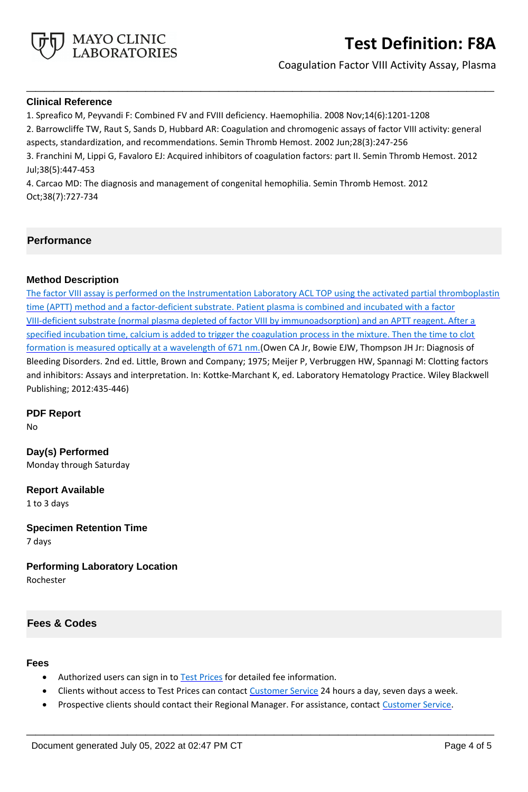

Coagulation Factor VIII Activity Assay, Plasma

## **Clinical Reference**

1. Spreafico M, Peyvandi F: Combined FV and FVIII deficiency. Haemophilia. 2008 Nov;14(6):1201-1208

2. Barrowcliffe TW, Raut S, Sands D, Hubbard AR: Coagulation and chromogenic assays of factor VIII activity: general

**\_\_\_\_\_\_\_\_\_\_\_\_\_\_\_\_\_\_\_\_\_\_\_\_\_\_\_\_\_\_\_\_\_\_\_\_\_\_\_\_\_\_\_\_\_\_\_\_\_\_\_**

aspects, standardization, and recommendations. Semin Thromb Hemost. 2002 Jun;28(3):247-256

3. Franchini M, Lippi G, Favaloro EJ: Acquired inhibitors of coagulation factors: part II. Semin Thromb Hemost. 2012 Jul;38(5):447-453

4. Carcao MD: The diagnosis and management of congenital hemophilia. Semin Thromb Hemost. 2012 Oct;38(7):727-734

# **Performance**

# **Method Description**

The factor VIII assay is performed on the Instrumentation Laboratory ACL TOP using the activated partial thromboplastin time (APTT) method and a factor-deficient substrate. Patient plasma is combined and incubated with a factor VIII-deficient substrate (normal plasma depleted of factor VIII by immunoadsorption) and an APTT reagent. After a specified incubation time, calcium is added to trigger the coagulation process in the mixture. Then the time to clot formation is measured optically at a wavelength of 671 nm. (Owen CA Jr, Bowie EJW, Thompson JH Jr: Diagnosis of Bleeding Disorders. 2nd ed. Little, Brown and Company; 1975; Meijer P, Verbruggen HW, Spannagi M: Clotting factors and inhibitors: Assays and interpretation. In: Kottke-Marchant K, ed. Laboratory Hematology Practice. Wiley Blackwell Publishing; 2012:435-446)

# **PDF Report**

No

**Day(s) Performed** Monday through Saturday

**Report Available** 1 to 3 days

**Specimen Retention Time** 7 days

**Performing Laboratory Location**

Rochester

# **Fees & Codes**

### **Fees**

- Authorized users can sign in to **Test Prices** for detailed fee information.
- Clients without access to Test Prices can contact [Customer Service](http://www.mayocliniclabs.com/customer-service/contacts.html) 24 hours a day, seven days a week.
- Prospective clients should contact their Regional Manager. For assistance, contact [Customer Service.](http://www.mayocliniclabs.com/customer-service/contacts.html)